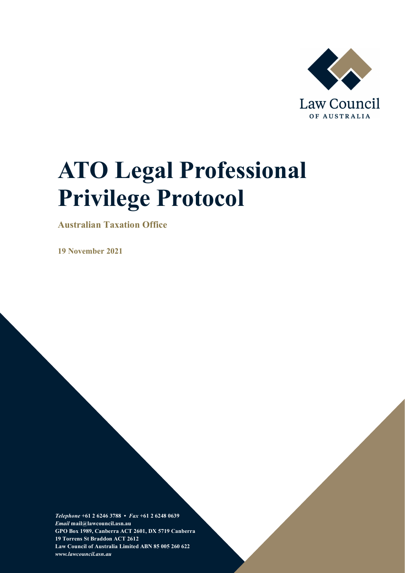

# **ATO Legal Professional Privilege Protocol**

**Australian Taxation Office**

**19 November 2021**

*Telephone* **+61 2 6246 3788 •** *Fax* **+61 2 6248 0639**  *Email* **mail@lawcouncil.asn.au GPO Box 1989, Canberra ACT 2601, DX 5719 Canberra 19 Torrens St Braddon ACT 2612 Law Council of Australia Limited ABN 85 005 260 622** *www.lawcouncil.asn.au*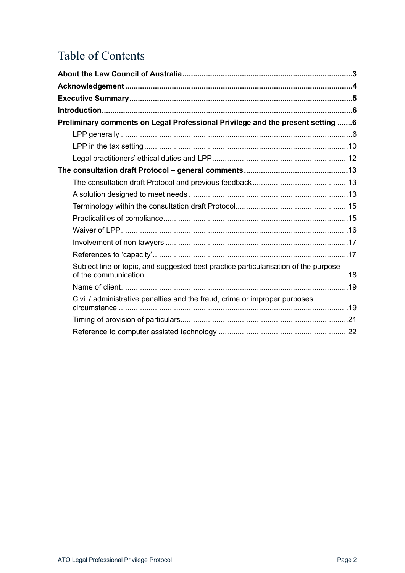# Table of Contents

| Preliminary comments on Legal Professional Privilege and the present setting 6      |  |
|-------------------------------------------------------------------------------------|--|
|                                                                                     |  |
|                                                                                     |  |
|                                                                                     |  |
|                                                                                     |  |
|                                                                                     |  |
|                                                                                     |  |
|                                                                                     |  |
|                                                                                     |  |
|                                                                                     |  |
|                                                                                     |  |
|                                                                                     |  |
| Subject line or topic, and suggested best practice particularisation of the purpose |  |
|                                                                                     |  |
| Civil / administrative penalties and the fraud, crime or improper purposes          |  |
|                                                                                     |  |
|                                                                                     |  |
|                                                                                     |  |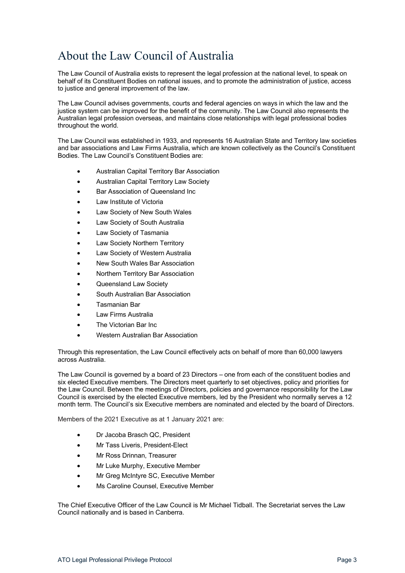# <span id="page-2-0"></span>About the Law Council of Australia

The Law Council of Australia exists to represent the legal profession at the national level, to speak on behalf of its Constituent Bodies on national issues, and to promote the administration of justice, access to justice and general improvement of the law.

The Law Council advises governments, courts and federal agencies on ways in which the law and the justice system can be improved for the benefit of the community. The Law Council also represents the Australian legal profession overseas, and maintains close relationships with legal professional bodies throughout the world.

The Law Council was established in 1933, and represents 16 Australian State and Territory law societies and bar associations and Law Firms Australia, which are known collectively as the Council's Constituent Bodies. The Law Council's Constituent Bodies are:

- Australian Capital Territory Bar Association
- Australian Capital Territory Law Society
- Bar Association of Queensland Inc
- Law Institute of Victoria
- Law Society of New South Wales
- Law Society of South Australia
- Law Society of Tasmania
- Law Society Northern Territory
- Law Society of Western Australia
- New South Wales Bar Association
- Northern Territory Bar Association
- Queensland Law Society
- South Australian Bar Association
- Tasmanian Bar
- Law Firms Australia
- The Victorian Bar Inc.
- Western Australian Bar Association

Through this representation, the Law Council effectively acts on behalf of more than 60,000 lawyers across Australia.

The Law Council is governed by a board of 23 Directors – one from each of the constituent bodies and six elected Executive members. The Directors meet quarterly to set objectives, policy and priorities for the Law Council. Between the meetings of Directors, policies and governance responsibility for the Law Council is exercised by the elected Executive members, led by the President who normally serves a 12 month term. The Council's six Executive members are nominated and elected by the board of Directors.

Members of the 2021 Executive as at 1 January 2021 are:

- Dr Jacoba Brasch QC, President
- Mr Tass Liveris, President-Elect
- Mr Ross Drinnan, Treasurer
- Mr Luke Murphy, Executive Member
- Mr Greg McIntyre SC, Executive Member
- Ms Caroline Counsel, Executive Member

The Chief Executive Officer of the Law Council is Mr Michael Tidball. The Secretariat serves the Law Council nationally and is based in Canberra.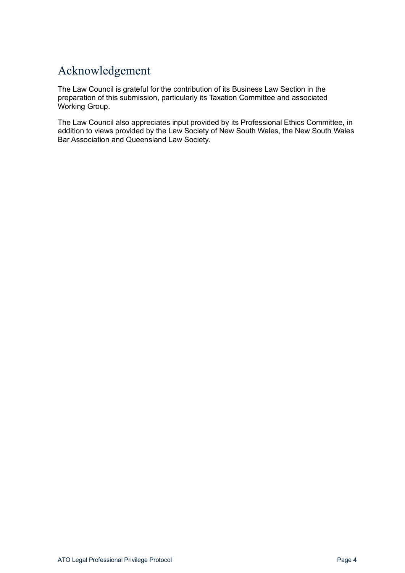# <span id="page-3-0"></span>Acknowledgement

The Law Council is grateful for the contribution of its Business Law Section in the preparation of this submission, particularly its Taxation Committee and associated Working Group.

The Law Council also appreciates input provided by its Professional Ethics Committee, in addition to views provided by the Law Society of New South Wales, the New South Wales Bar Association and Queensland Law Society.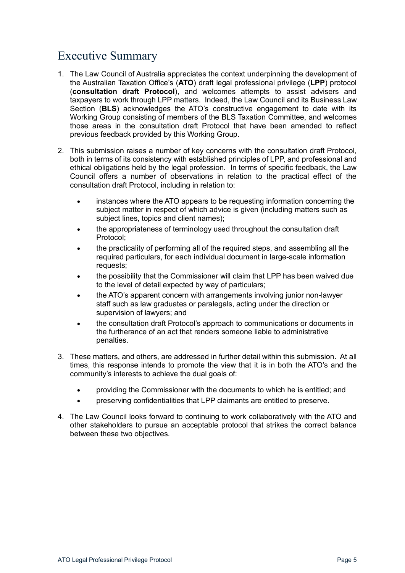# <span id="page-4-0"></span>Executive Summary

- 1. The Law Council of Australia appreciates the context underpinning the development of the Australian Taxation Office's (**ATO**) draft legal professional privilege (**LPP**) protocol (**consultation draft Protocol**), and welcomes attempts to assist advisers and taxpayers to work through LPP matters. Indeed, the Law Council and its Business Law Section (**BLS**) acknowledges the ATO's constructive engagement to date with its Working Group consisting of members of the BLS Taxation Committee, and welcomes those areas in the consultation draft Protocol that have been amended to reflect previous feedback provided by this Working Group.
- 2. This submission raises a number of key concerns with the consultation draft Protocol, both in terms of its consistency with established principles of LPP, and professional and ethical obligations held by the legal profession. In terms of specific feedback, the Law Council offers a number of observations in relation to the practical effect of the consultation draft Protocol, including in relation to:
	- instances where the ATO appears to be requesting information concerning the subject matter in respect of which advice is given (including matters such as subject lines, topics and client names);
	- the appropriateness of terminology used throughout the consultation draft Protocol;
	- the practicality of performing all of the required steps, and assembling all the required particulars, for each individual document in large-scale information requests;
	- the possibility that the Commissioner will claim that LPP has been waived due to the level of detail expected by way of particulars;
	- the ATO's apparent concern with arrangements involving junior non-lawyer staff such as law graduates or paralegals, acting under the direction or supervision of lawyers; and
	- the consultation draft Protocol's approach to communications or documents in the furtherance of an act that renders someone liable to administrative penalties.
- 3. These matters, and others, are addressed in further detail within this submission. At all times, this response intends to promote the view that it is in both the ATO's and the community's interests to achieve the dual goals of:
	- providing the Commissioner with the documents to which he is entitled; and
	- preserving confidentialities that LPP claimants are entitled to preserve.
- 4. The Law Council looks forward to continuing to work collaboratively with the ATO and other stakeholders to pursue an acceptable protocol that strikes the correct balance between these two objectives.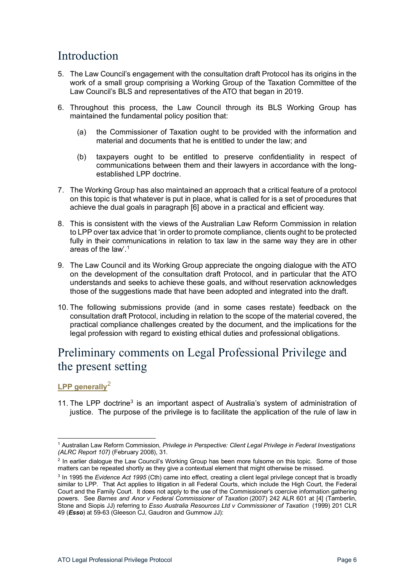### <span id="page-5-0"></span>Introduction

- 5. The Law Council's engagement with the consultation draft Protocol has its origins in the work of a small group comprising a Working Group of the Taxation Committee of the Law Council's BLS and representatives of the ATO that began in 2019.
- <span id="page-5-6"></span>6. Throughout this process, the Law Council through its BLS Working Group has maintained the fundamental policy position that:
	- (a) the Commissioner of Taxation ought to be provided with the information and material and documents that he is entitled to under the law; and
	- (b) taxpayers ought to be entitled to preserve confidentiality in respect of communications between them and their lawyers in accordance with the longestablished LPP doctrine.
- <span id="page-5-7"></span>7. The Working Group has also maintained an approach that a critical feature of a protocol on this topic is that whatever is put in place, what is called for is a set of procedures that achieve the dual goals in paragraph [6] above in a practical and efficient way.
- 8. This is consistent with the views of the Australian Law Reform Commission in relation to LPP over tax advice that 'in order to promote compliance, clients ought to be protected fully in their communications in relation to tax law in the same way they are in other areas of the law'.[1](#page-5-3)
- 9. The Law Council and its Working Group appreciate the ongoing dialogue with the ATO on the development of the consultation draft Protocol, and in particular that the ATO understands and seeks to achieve these goals, and without reservation acknowledges those of the suggestions made that have been adopted and integrated into the draft.
- 10. The following submissions provide (and in some cases restate) feedback on the consultation draft Protocol, including in relation to the scope of the material covered, the practical compliance challenges created by the document, and the implications for the legal profession with regard to existing ethical duties and professional obligations.

## <span id="page-5-1"></span>Preliminary comments on Legal Professional Privilege and the present setting

#### <span id="page-5-2"></span>**LPP generally**[2](#page-5-4)

11. The LPP doctrine<sup>[3](#page-5-5)</sup> is an important aspect of Australia's system of administration of justice. The purpose of the privilege is to facilitate the application of the rule of law in

<span id="page-5-3"></span><sup>1</sup> Australian Law Reform Commission*, Privilege in Perspective: Client Legal Privilege in Federal Investigations (ALRC Report 107)* (February 2008), 31.

<span id="page-5-4"></span><sup>&</sup>lt;sup>2</sup> In earlier dialogue the Law Council's Working Group has been more fulsome on this topic. Some of those matters can be repeated shortly as they give a contextual element that might otherwise be missed.

<span id="page-5-5"></span><sup>3</sup> In 1995 the *Evidence Act 1995* (Cth) came into effect, creating a client legal privilege concept that is broadly similar to LPP. That Act applies to litigation in all Federal Courts, which include the High Court, the Federal Court and the Family Court. It does not apply to the use of the Commissioner's coercive information gathering powers. See *Barnes and Anor v Federal Commissioner of Taxation* (2007) 242 ALR 601 at [4] (Tamberlin, Stone and Siopis JJ) referring to *Esso Australia Resources Ltd v Commissioner of Taxation* (1999) 201 CLR 49 (*Esso*) at 59-63 (Gleeson CJ, Gaudron and Gummow JJ):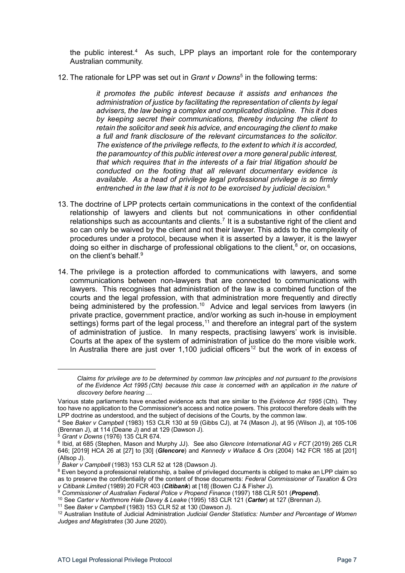the public interest.<sup>4</sup> As such, LPP plays an important role for the contemporary Australian community.

12. The rationale for LPP was set out in *Grant v Downs*[5](#page-6-1) in the following terms:

*it promotes the public interest because it assists and enhances the administration of justice by facilitating the representation of clients by legal advisers, the law being a complex and complicated discipline. This it does by keeping secret their communications, thereby inducing the client to retain the solicitor and seek his advice, and encouraging the client to make a full and frank disclosure of the relevant circumstances to the solicitor. The existence of the privilege reflects, to the extent to which it is accorded, the paramountcy of this public interest over a more general public interest, that which requires that in the interests of a fair trial litigation should be conducted on the footing that all relevant documentary evidence is available. As a head of privilege legal professional privilege is so firmly entrenched in the law that it is not to be exorcised by judicial decision.*[6](#page-6-2)

- 13. The doctrine of LPP protects certain communications in the context of the confidential relationship of lawyers and clients but not communications in other confidential relationships such as accountants and clients.<sup>7</sup> It is a substantive right of the client and so can only be waived by the client and not their lawyer. This adds to the complexity of procedures under a protocol, because when it is asserted by a lawyer, it is the lawyer doing so either in discharge of professional obligations to the client,  $8$  or, on occasions, on the client's behalf.<sup>[9](#page-6-5)</sup>
- 14. The privilege is a protection afforded to communications with lawyers, and some communications between non-lawyers that are connected to communications with lawyers. This recognises that administration of the law is a combined function of the courts and the legal profession, with that administration more frequently and directly being administered by the profession.<sup>10</sup> Advice and legal services from lawyers (in private practice, government practice, and/or working as such in-house in employment settings) forms part of the legal process,<sup>[11](#page-6-7)</sup> and therefore an integral part of the system of administration of justice. In many respects, practising lawyers' work is invisible. Courts at the apex of the system of administration of justice do the more visible work. In Australia there are just over 1,100 judicial officers<sup>[12](#page-6-8)</sup> but the work of in excess of

<sup>5</sup> *Grant v Downs* (1976) 135 CLR 674.

*Claims for privilege are to be determined by common law principles and not pursuant to the provisions of the Evidence Act 1995 (Cth) because this case is concerned with an application in the nature of discovery before hearing …*

Various state parliaments have enacted evidence acts that are similar to the *Evidence Act 1995* (Cth). They too have no application to the Commissioner's access and notice powers. This protocol therefore deals with the LPP doctrine as understood, and the subject of decisions of the Courts, by the common law.<br><sup>4</sup> See *Baker v Campbell* (1983) 153 CLR 130 at 59 (Gibbs CJ), at 74 (Mason J), at 95 (Wilson J), at 105-106

<span id="page-6-0"></span><sup>(</sup>Brennan J), at 114 (Deane J) and at 129 (Dawson J).

<span id="page-6-2"></span><span id="page-6-1"></span><sup>6</sup> Ibid, at 685 (Stephen, Mason and Murphy JJ). See also *Glencore International AG v FCT* (2019) 265 CLR 646; [2019] HCA 26 at [27] to [30] (*Glencore*) and *Kennedy v Wallace & Ors* (2004) 142 FCR 185 at [201] (Allsop J).

<sup>7</sup> *Baker v Campbell* (1983) 153 CLR 52 at 128 (Dawson J).

<span id="page-6-4"></span><span id="page-6-3"></span><sup>&</sup>lt;sup>8</sup> Even beyond a professional relationship, a bailee of privileged documents is obliged to make an LPP claim so as to preserve the confidentiality of the content of those documents: *Federal Commissioner of Taxation & Ors v Citibank Limited* (1989) 20 FCR 403 (*Citibank*) at [18] (Bowen CJ & Fisher J).

<span id="page-6-5"></span><sup>9</sup> *Commissioner of Australian Federal Police v Propend Finance* (1997) 188 CLR 501 (*Propend*).

<span id="page-6-6"></span><sup>10</sup> See *Carter v Northmore Hale Davey & Leake* (1995) 183 CLR 121 (*Carter*) at 127 (Brennan J).

<sup>11</sup> See *Baker v Campbell* (1983) 153 CLR 52 at 130 (Dawson J).

<span id="page-6-8"></span><span id="page-6-7"></span><sup>12</sup> Australian Institute of Judicial Administration *Judicial Gender Statistics: Number and Percentage of Women Judges and Magistrates* (30 June 2020).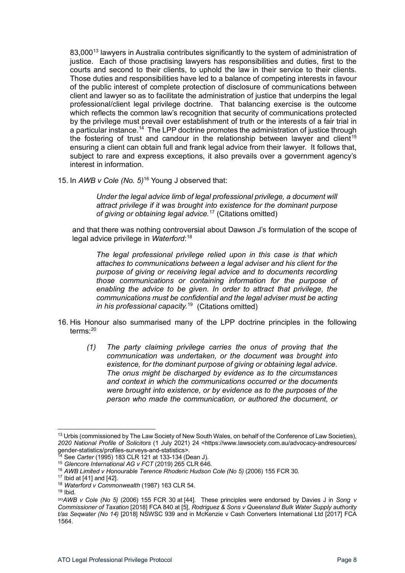83,000<sup>[13](#page-7-0)</sup> lawyers in Australia contributes significantly to the system of administration of justice. Each of those practising lawyers has responsibilities and duties, first to the courts and second to their clients, to uphold the law in their service to their clients. Those duties and responsibilities have led to a balance of competing interests in favour of the public interest of complete protection of disclosure of communications between client and lawyer so as to facilitate the administration of justice that underpins the legal professional/client legal privilege doctrine. That balancing exercise is the outcome which reflects the common law's recognition that security of communications protected by the privilege must prevail over establishment of truth or the interests of a fair trial in a particular instance.<sup>14</sup> The LPP doctrine promotes the administration of justice through the fostering of trust and candour in the relationship between lawyer and client<sup>[15](#page-7-2)</sup> ensuring a client can obtain full and frank legal advice from their lawyer. It follows that, subject to rare and express exceptions, it also prevails over a government agency's interest in information.

15. In *AWB v Cole (No. 5)*[16](#page-7-3) Young J observed that:

*Under the legal advice limb of legal professional privilege, a document will attract privilege if it was brought into existence for the dominant purpose of giving or obtaining legal advice.* [17](#page-7-4) (Citations omitted)

and that there was nothing controversial about Dawson J's formulation of the scope of legal advice privilege in *Waterford*: [18](#page-7-5)

*The legal professional privilege relied upon in this case is that which attaches to communications between a legal adviser and his client for the purpose of giving or receiving legal advice and to documents recording those communications or containing information for the purpose of enabling the advice to be given. In order to attract that privilege, the communications must be confidential and the legal adviser must be acting in his professional capacity.*[19](#page-7-6) (Citations omitted)

- <span id="page-7-8"></span>16. His Honour also summarised many of the LPP doctrine principles in the following terms $\cdot^{20}$  $\cdot^{20}$  $\cdot^{20}$ 
	- *(1) The party claiming privilege carries the onus of proving that the communication was undertaken, or the document was brought into existence, for the dominant purpose of giving or obtaining legal advice. The onus might be discharged by evidence as to the circumstances and context in which the communications occurred or the documents were brought into existence, or by evidence as to the purposes of the person who made the communication, or authored the document, or*

<span id="page-7-0"></span><sup>&</sup>lt;sup>13</sup> Urbis (commissioned by The Law Society of New South Wales, on behalf of the Conference of Law Societies), *2020 National Profile of Solicitors* (1 July 2021) 24 <https://www.lawsociety.com.au/advocacy-andresources/ gender-statistics/profiles-surveys-and-statistics>.

<span id="page-7-1"></span><sup>14</sup> See *Carter* (1995) 183 CLR 121 at 133-134 (Dean J).

<span id="page-7-2"></span><sup>15</sup> *Glencore International AG v FCT* (2019) 265 CLR 646.

<span id="page-7-3"></span><sup>&</sup>lt;sup>16</sup> AWB Limited v Honourable Terence Rhoderic Hudson Cole (No 5) (2006) 155 FCR 30.<br><sup>17</sup> Ibid at [41] and [42].

<span id="page-7-4"></span>

<span id="page-7-5"></span><sup>18</sup> *Waterford v Commonwealth* (1987) 163 CLR 54.

 $19$  Ibid.

<span id="page-7-7"></span><span id="page-7-6"></span><sup>20</sup>*AWB v Cole (No 5)* (2006) 155 FCR 30 at [\[44\].](http://www.austlii.edu.au/cgi-bin/viewdoc/au/cases/cth/FCA/2006/1234.html#para44) These principles were endorsed by Davies J in *Song v Commissioner of Taxation* [\[2018\] FCA 840](http://www.austlii.edu.au/cgi-bin/viewdoc/au/cases/cth/FCA/2018/840.html) at [5], *[Rodriguez & Sons v Queensland Bulk Water Supply authority](https://jade.io/article/593078)  [t/as Seqwater \(No 14\)](https://jade.io/article/593078)* [2018] NSWSC 939 and in McKenzie v Cash Converters International Ltd [2017] FCA 1564.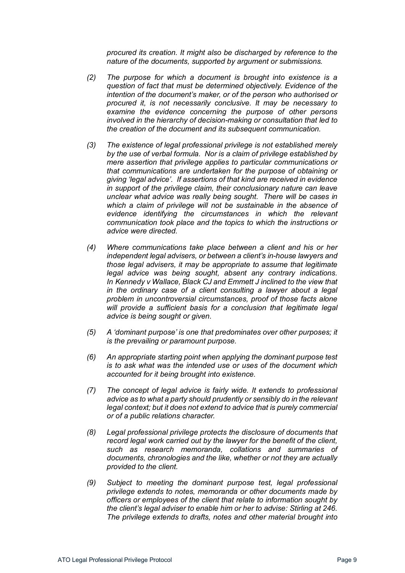*procured its creation. It might also be discharged by reference to the nature of the documents, supported by argument or submissions.*

- *(2) The purpose for which a document is brought into existence is a question of fact that must be determined objectively. Evidence of the intention of the document's maker, or of the person who authorised or procured it, is not necessarily conclusive. It may be necessary to examine the evidence concerning the purpose of other persons involved in the hierarchy of decision-making or consultation that led to the creation of the document and its subsequent communication.*
- *(3) The existence of legal professional privilege is not established merely by the use of verbal formula. Nor is a claim of privilege established by mere assertion that privilege applies to particular communications or that communications are undertaken for the purpose of obtaining or giving 'legal advice'. If assertions of that kind are received in evidence in support of the privilege claim, their conclusionary nature can leave unclear what advice was really being sought. There will be cases in which a claim of privilege will not be sustainable in the absence of evidence identifying the circumstances in which the relevant communication took place and the topics to which the instructions or advice were directed.*
- *(4) Where communications take place between a client and his or her independent legal advisers, or between a client's in-house lawyers and those legal advisers, it may be appropriate to assume that legitimate legal advice was being sought, absent any contrary indications. In Kennedy v Wallace, Black CJ and Emmett J inclined to the view that in the ordinary case of a client consulting a lawyer about a legal problem in uncontroversial circumstances, proof of those facts alone will provide a sufficient basis for a conclusion that legitimate legal advice is being sought or given.*
- *(5) A 'dominant purpose' is one that predominates over other purposes; it is the prevailing or paramount purpose.*
- *(6) An appropriate starting point when applying the dominant purpose test is to ask what was the intended use or uses of the document which accounted for it being brought into existence.*
- *(7) The concept of legal advice is fairly wide. It extends to professional advice as to what a party should prudently or sensibly do in the relevant legal context; but it does not extend to advice that is purely commercial or of a public relations character.*
- *(8) Legal professional privilege protects the disclosure of documents that record legal work carried out by the lawyer for the benefit of the client, such as research memoranda, collations and summaries of documents, chronologies and the like, whether or not they are actually provided to the client.*
- *(9) Subject to meeting the dominant purpose test, legal professional privilege extends to notes, memoranda or other documents made by officers or employees of the client that relate to information sought by the client's legal adviser to enable him or her to advise: Stirling at 246. The privilege extends to drafts, notes and other material brought into*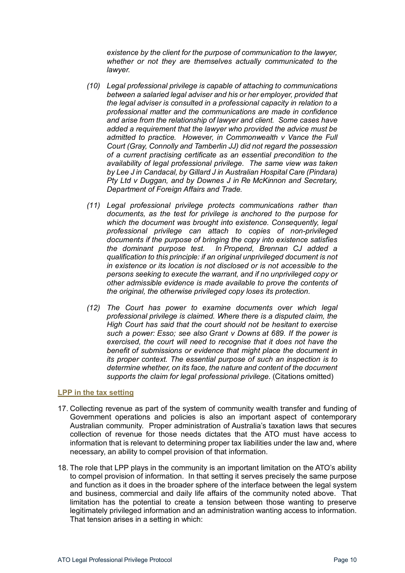*existence by the client for the purpose of communication to the lawyer, whether or not they are themselves actually communicated to the lawyer.*

- *(10) Legal professional privilege is capable of attaching to communications between a salaried legal adviser and his or her employer, provided that the legal adviser is consulted in a professional capacity in relation to a professional matter and the communications are made in confidence and arise from the relationship of lawyer and client. Some cases have added a requirement that the lawyer who provided the advice must be admitted to practice. However, in Commonwealth v Vance the Full Court (Gray, Connolly and Tamberlin JJ) did not regard the possession of a current practising certificate as an essential precondition to the availability of legal professional privilege. The same view was taken by Lee J in Candacal, by Gillard J in Australian Hospital Care (Pindara) Pty Ltd v Duggan, and by Downes J in Re McKinnon and Secretary, Department of Foreign Affairs and Trade.*
- *(11) Legal professional privilege protects communications rather than documents, as the test for privilege is anchored to the purpose for which the document was brought into existence. Consequently, legal professional privilege can attach to copies of non-privileged documents if the purpose of bringing the copy into existence satisfies the dominant purpose test. In Propend, Brennan CJ added a qualification to this principle: if an original unprivileged document is not in existence or its location is not disclosed or is not accessible to the persons seeking to execute the warrant, and if no unprivileged copy or other admissible evidence is made available to prove the contents of the original, the otherwise privileged copy loses its protection.*
- *(12) The Court has power to examine documents over which legal professional privilege is claimed. Where there is a disputed claim, the High Court has said that the court should not be hesitant to exercise such a power: Esso; see also Grant v Downs at 689. If the power is exercised, the court will need to recognise that it does not have the benefit of submissions or evidence that might place the document in its proper context. The essential purpose of such an inspection is to determine whether, on its face, the nature and content of the document supports the claim for legal professional privilege.* (Citations omitted)

#### <span id="page-9-0"></span>**LPP in the tax setting**

- 17. Collecting revenue as part of the system of community wealth transfer and funding of Government operations and policies is also an important aspect of contemporary Australian community. Proper administration of Australia's taxation laws that secures collection of revenue for those needs dictates that the ATO must have access to information that is relevant to determining proper tax liabilities under the law and, where necessary, an ability to compel provision of that information.
- <span id="page-9-1"></span>18. The role that LPP plays in the community is an important limitation on the ATO's ability to compel provision of information. In that setting it serves precisely the same purpose and function as it does in the broader sphere of the interface between the legal system and business, commercial and daily life affairs of the community noted above. That limitation has the potential to create a tension between those wanting to preserve legitimately privileged information and an administration wanting access to information. That tension arises in a setting in which: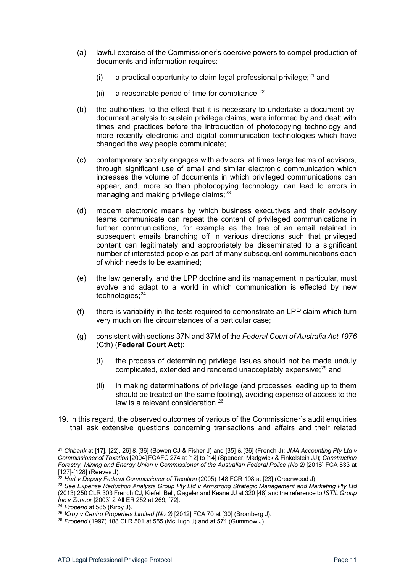- (a) lawful exercise of the Commissioner's coercive powers to compel production of documents and information requires:
	- (i) a practical opportunity to claim legal professional privilege; $^{21}$  $^{21}$  $^{21}$  and
	- (ii) a reasonable period of time for compliance; $22$
- (b) the authorities, to the effect that it is necessary to undertake a document-bydocument analysis to sustain privilege claims, were informed by and dealt with times and practices before the introduction of photocopying technology and more recently electronic and digital communication technologies which have changed the way people communicate;
- (c) contemporary society engages with advisors, at times large teams of advisors, through significant use of email and similar electronic communication which increases the volume of documents in which privileged communications can appear, and, more so than photocopying technology, can lead to errors in managing and making privilege claims: $23$
- (d) modern electronic means by which business executives and their advisory teams communicate can repeat the content of privileged communications in further communications, for example as the tree of an email retained in subsequent emails branching off in various directions such that privileged content can legitimately and appropriately be disseminated to a significant number of interested people as part of many subsequent communications each of which needs to be examined;
- (e) the law generally, and the LPP doctrine and its management in particular, must evolve and adapt to a world in which communication is effected by new technologies;<sup>24</sup>
- (f) there is variability in the tests required to demonstrate an LPP claim which turn very much on the circumstances of a particular case;
- (g) consistent with sections 37N and 37M of the *Federal Court of Australia Act 1976* (Cth) (**Federal Court Act**):
	- (i) the process of determining privilege issues should not be made unduly complicated, extended and rendered unacceptably expensive;<sup>[25](#page-10-4)</sup> and
	- (ii) in making determinations of privilege (and processes leading up to them should be treated on the same footing), avoiding expense of access to the law is a relevant consideration.<sup>[26](#page-10-5)</sup>
- 19. In this regard, the observed outcomes of various of the Commissioner's audit enquiries that ask extensive questions concerning transactions and affairs and their related

<span id="page-10-0"></span><sup>21</sup> *Citibank* at [17], [22], 26] & [36] (Bowen CJ & Fisher J) and [35] & [36] (French J); *JMA Accounting Pty Ltd v Commissioner of Taxation* [2004] FCAFC 274 at [12] to [14] (Spender, Madgwick & Finkelstein JJ); *Construction Forestry, Mining and Energy Union v Commissioner of the Australian Federal Police (No 2)* [2016] FCA 833 at [127]-[128] (Reeves J).

<sup>22</sup> *Hart v Deputy Federal Commissioner of Taxation* (2005) 148 FCR 198 at [23] (Greenwood J).

<span id="page-10-2"></span><span id="page-10-1"></span><sup>23</sup> *See Expense Reduction Analysts Group Pty Ltd v Armstrong Strategic Management and Marketing Pty Ltd*  (2013) 250 CLR 303 French CJ, Kiefel, Bell, Gageler and Keane JJ at 320 [48] and the reference to *ISTIL Group Inc v Zahoor* [2003] 2 All ER 252 at 269, [72].

<sup>24</sup> *Propend* at 585 (Kirby J).

<span id="page-10-4"></span><span id="page-10-3"></span><sup>25</sup> *Kirby v Centro Properties Limited (No 2)* [2012] FCA 70 at [30] (Bromberg J).

<span id="page-10-5"></span><sup>26</sup> *Propend* (1997) 188 CLR 501 at 555 (McHugh J) and at 571 (Gummow J).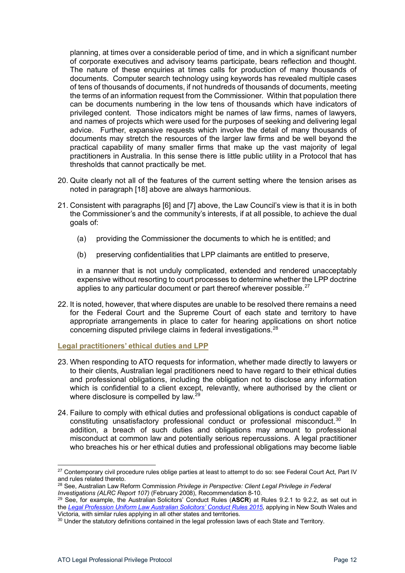planning, at times over a considerable period of time, and in which a significant number of corporate executives and advisory teams participate, bears reflection and thought. The nature of these enquiries at times calls for production of many thousands of documents. Computer search technology using keywords has revealed multiple cases of tens of thousands of documents, if not hundreds of thousands of documents, meeting the terms of an information request from the Commissioner. Within that population there can be documents numbering in the low tens of thousands which have indicators of privileged content. Those indicators might be names of law firms, names of lawyers, and names of projects which were used for the purposes of seeking and delivering legal advice. Further, expansive requests which involve the detail of many thousands of documents may stretch the resources of the larger law firms and be well beyond the practical capability of many smaller firms that make up the vast majority of legal practitioners in Australia. In this sense there is little public utility in a Protocol that has thresholds that cannot practically be met.

- 20. Quite clearly not all of the features of the current setting where the tension arises as noted in paragraph [\[18\] above](#page-9-1) are always harmonious.
- 21. Consistent with paragraphs [\[6\]](#page-5-6) and [\[7\] above,](#page-5-7) the Law Council's view is that it is in both the Commissioner's and the community's interests, if at all possible, to achieve the dual goals of:
	- (a) providing the Commissioner the documents to which he is entitled; and
	- (b) preserving confidentialities that LPP claimants are entitled to preserve,

in a manner that is not unduly complicated, extended and rendered unacceptably expensive without resorting to court processes to determine whether the LPP doctrine applies to any particular document or part thereof wherever possible.<sup>[27](#page-11-1)</sup>

22. It is noted, however, that where disputes are unable to be resolved there remains a need for the Federal Court and the Supreme Court of each state and territory to have appropriate arrangements in place to cater for hearing applications on short notice concerning disputed privilege claims in federal investigations.[28](#page-11-2)

#### <span id="page-11-0"></span>**Legal practitioners' ethical duties and LPP**

- 23. When responding to ATO requests for information, whether made directly to lawyers or to their clients, Australian legal practitioners need to have regard to their ethical duties and professional obligations, including the obligation not to disclose any information which is confidential to a client except, relevantly, where authorised by the client or where disclosure is compelled by law.<sup>[29](#page-11-3)</sup>
- 24. Failure to comply with ethical duties and professional obligations is conduct capable of constituting unsatisfactory professional conduct or professional misconduct. [30](#page-11-4) In addition, a breach of such duties and obligations may amount to professional misconduct at common law and potentially serious repercussions. A legal practitioner who breaches his or her ethical duties and professional obligations may become liable

<span id="page-11-1"></span><sup>&</sup>lt;sup>27</sup> Contemporary civil procedure rules oblige parties at least to attempt to do so: see Federal Court Act, Part IV and rules related thereto.

<span id="page-11-2"></span><sup>28</sup> See, Australian Law Reform Commission *Privilege in Perspective: Client Legal Privilege in Federal* 

<span id="page-11-3"></span>*Investigations (ALRC Report 107)* (February 2008), Recommendation 8-10.<br><sup>29</sup> See, for example, the Australian Solicitors' Conduct Rules (**ASCR**) at Rules 9.2.1 to 9.2.2, as set out in the *[Legal Profession Uniform Law Australian Solicitors' Conduct Rules 2015](https://legislation.nsw.gov.au/view/html/inforce/current/sl-2015-0244)*, applying in New South Wales and Victoria, with similar rules applying in all other states and territories.

<span id="page-11-4"></span><sup>&</sup>lt;sup>30</sup> Under the statutory definitions contained in the legal profession laws of each State and Territory.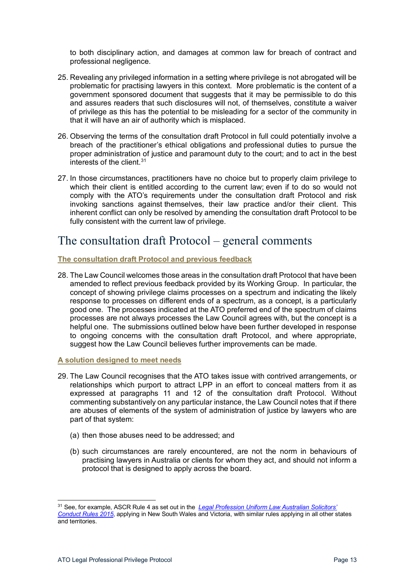to both disciplinary action, and damages at common law for breach of contract and professional negligence.

- 25. Revealing any privileged information in a setting where privilege is not abrogated will be problematic for practising lawyers in this context. More problematic is the content of a government sponsored document that suggests that it may be permissible to do this and assures readers that such disclosures will not, of themselves, constitute a waiver of privilege as this has the potential to be misleading for a sector of the community in that it will have an air of authority which is misplaced.
- 26. Observing the terms of the consultation draft Protocol in full could potentially involve a breach of the practitioner's ethical obligations and professional duties to pursue the proper administration of justice and paramount duty to the court; and to act in the best interests of the client  $31$
- 27. In those circumstances, practitioners have no choice but to properly claim privilege to which their client is entitled according to the current law; even if to do so would not comply with the ATO's requirements under the consultation draft Protocol and risk invoking sanctions against themselves, their law practice and/or their client. This inherent conflict can only be resolved by amending the consultation draft Protocol to be fully consistent with the current law of privilege.

### <span id="page-12-0"></span>The consultation draft Protocol – general comments

#### <span id="page-12-1"></span>**The consultation draft Protocol and previous feedback**

28. The Law Council welcomes those areas in the consultation draft Protocol that have been amended to reflect previous feedback provided by its Working Group. In particular, the concept of showing privilege claims processes on a spectrum and indicating the likely response to processes on different ends of a spectrum, as a concept, is a particularly good one. The processes indicated at the ATO preferred end of the spectrum of claims processes are not always processes the Law Council agrees with, but the concept is a helpful one. The submissions outlined below have been further developed in response to ongoing concerns with the consultation draft Protocol, and where appropriate, suggest how the Law Council believes further improvements can be made.

<span id="page-12-2"></span>**A solution designed to meet needs**

- 29. The Law Council recognises that the ATO takes issue with contrived arrangements, or relationships which purport to attract LPP in an effort to conceal matters from it as expressed at paragraphs 11 and 12 of the consultation draft Protocol. Without commenting substantively on any particular instance, the Law Council notes that if there are abuses of elements of the system of administration of justice by lawyers who are part of that system:
	- (a) then those abuses need to be addressed; and
	- (b) such circumstances are rarely encountered, are not the norm in behaviours of practising lawyers in Australia or clients for whom they act, and should not inform a protocol that is designed to apply across the board.

<span id="page-12-3"></span><sup>31</sup> See, for example, ASCR Rule 4 as set out in the *[Legal Profession Uniform Law Australian Solicitors'](https://legislation.nsw.gov.au/view/html/inforce/current/sl-2015-0244)  [Conduct Rules 2015](https://legislation.nsw.gov.au/view/html/inforce/current/sl-2015-0244)*, applying in New South Wales and Victoria, with similar rules applying in all other states and territories.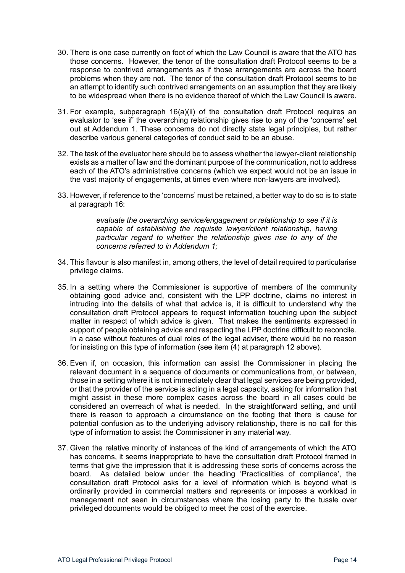- 30. There is one case currently on foot of which the Law Council is aware that the ATO has those concerns. However, the tenor of the consultation draft Protocol seems to be a response to contrived arrangements as if those arrangements are across the board problems when they are not. The tenor of the consultation draft Protocol seems to be an attempt to identify such contrived arrangements on an assumption that they are likely to be widespread when there is no evidence thereof of which the Law Council is aware.
- 31. For example, subparagraph 16(a)(ii) of the consultation draft Protocol requires an evaluator to 'see if' the overarching relationship gives rise to any of the 'concerns' set out at Addendum 1. These concerns do not directly state legal principles, but rather describe various general categories of conduct said to be an abuse.
- 32. The task of the evaluator here should be to assess whether the lawyer-client relationship exists as a matter of law and the dominant purpose of the communication, not to address each of the ATO's administrative concerns (which we expect would not be an issue in the vast majority of engagements, at times even where non-lawyers are involved).
- 33. However, if reference to the 'concerns' must be retained, a better way to do so is to state at paragraph 16:

*evaluate the overarching service/engagement or relationship to see if it is capable of establishing the requisite lawyer/client relationship, having particular regard to whether the relationship gives rise to any of the concerns referred to in Addendum 1;* 

- 34. This flavour is also manifest in, among others, the level of detail required to particularise privilege claims.
- 35. In a setting where the Commissioner is supportive of members of the community obtaining good advice and, consistent with the LPP doctrine, claims no interest in intruding into the details of what that advice is, it is difficult to understand why the consultation draft Protocol appears to request information touching upon the subject matter in respect of which advice is given. That makes the sentiments expressed in support of people obtaining advice and respecting the LPP doctrine difficult to reconcile. In a case without features of dual roles of the legal adviser, there would be no reason for insisting on this type of information (see item (4) at paragraph [12 above\)](#page-7-8).
- 36. Even if, on occasion, this information can assist the Commissioner in placing the relevant document in a sequence of documents or communications from, or between, those in a setting where it is not immediately clear that legal services are being provided, or that the provider of the service is acting in a legal capacity, asking for information that might assist in these more complex cases across the board in all cases could be considered an overreach of what is needed. In the straightforward setting, and until there is reason to approach a circumstance on the footing that there is cause for potential confusion as to the underlying advisory relationship, there is no call for this type of information to assist the Commissioner in any material way.
- 37. Given the relative minority of instances of the kind of arrangements of which the ATO has concerns, it seems inappropriate to have the consultation draft Protocol framed in terms that give the impression that it is addressing these sorts of concerns across the board. As detailed below under the heading 'Practicalities of compliance', the consultation draft Protocol asks for a level of information which is beyond what is ordinarily provided in commercial matters and represents or imposes a workload in management not seen in circumstances where the losing party to the tussle over privileged documents would be obliged to meet the cost of the exercise.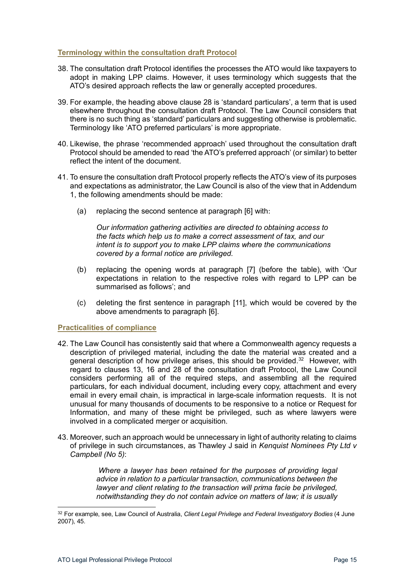#### <span id="page-14-0"></span>**Terminology within the consultation draft Protocol**

- 38. The consultation draft Protocol identifies the processes the ATO would like taxpayers to adopt in making LPP claims. However, it uses terminology which suggests that the ATO's desired approach reflects the law or generally accepted procedures.
- 39. For example, the heading above clause 28 is 'standard particulars', a term that is used elsewhere throughout the consultation draft Protocol. The Law Council considers that there is no such thing as 'standard' particulars and suggesting otherwise is problematic. Terminology like 'ATO preferred particulars' is more appropriate.
- 40. Likewise, the phrase 'recommended approach' used throughout the consultation draft Protocol should be amended to read 'the ATO's preferred approach' (or similar) to better reflect the intent of the document.
- 41. To ensure the consultation draft Protocol properly reflects the ATO's view of its purposes and expectations as administrator, the Law Council is also of the view that in Addendum 1, the following amendments should be made:
	- (a) replacing the second sentence at paragraph [6] with:

*Our information gathering activities are directed to obtaining access to the facts which help us to make a correct assessment of tax, and our intent is to support you to make LPP claims where the communications covered by a formal notice are privileged.*

- (b) replacing the opening words at paragraph [7] (before the table), with 'Our expectations in relation to the respective roles with regard to LPP can be summarised as follows'; and
- (c) deleting the first sentence in paragraph [11], which would be covered by the above amendments to paragraph [6].

#### <span id="page-14-1"></span>**Practicalities of compliance**

- 42. The Law Council has consistently said that where a Commonwealth agency requests a description of privileged material, including the date the material was created and a general description of how privilege arises, this should be provided.<sup>32</sup> However, with regard to clauses 13, 16 and 28 of the consultation draft Protocol, the Law Council considers performing all of the required steps, and assembling all the required particulars, for each individual document, including every copy, attachment and every email in every email chain, is impractical in large-scale information requests. It is not unusual for many thousands of documents to be responsive to a notice or Request for Information, and many of these might be privileged, such as where lawyers were involved in a complicated merger or acquisition.
- 43. Moreover, such an approach would be unnecessary in light of authority relating to claims of privilege in such circumstances, as Thawley J said in *Kenquist Nominees Pty Ltd v Campbell (No 5)*:

*Where a lawyer has been retained for the purposes of providing legal advice in relation to a particular transaction, communications between the lawyer and client relating to the transaction will prima facie be privileged, notwithstanding they do not contain advice on matters of law; it is usually* 

<span id="page-14-2"></span><sup>32</sup> For example, see, Law Council of Australia, *Client Legal Privilege and Federal Investigatory Bodies* (4 June 2007), 45.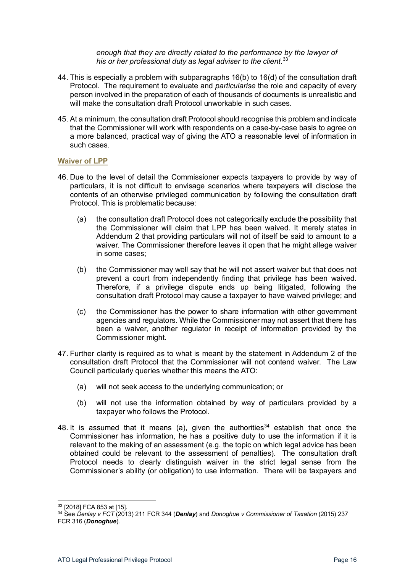*enough that they are directly related to the performance by the lawyer of his or her professional duty as legal adviser to the client.*[33](#page-15-1)

- 44. This is especially a problem with subparagraphs 16(b) to 16(d) of the consultation draft Protocol. The requirement to evaluate and *particularise* the role and capacity of every person involved in the preparation of each of thousands of documents is unrealistic and will make the consultation draft Protocol unworkable in such cases.
- 45. At a minimum, the consultation draft Protocol should recognise this problem and indicate that the Commissioner will work with respondents on a case-by-case basis to agree on a more balanced, practical way of giving the ATO a reasonable level of information in such cases.

#### <span id="page-15-0"></span>**Waiver of LPP**

- 46. Due to the level of detail the Commissioner expects taxpayers to provide by way of particulars, it is not difficult to envisage scenarios where taxpayers will disclose the contents of an otherwise privileged communication by following the consultation draft Protocol. This is problematic because:
	- (a) the consultation draft Protocol does not categorically exclude the possibility that the Commissioner will claim that LPP has been waived. It merely states in Addendum 2 that providing particulars will not of itself be said to amount to a waiver. The Commissioner therefore leaves it open that he might allege waiver in some cases;
	- (b) the Commissioner may well say that he will not assert waiver but that does not prevent a court from independently finding that privilege has been waived. Therefore, if a privilege dispute ends up being litigated, following the consultation draft Protocol may cause a taxpayer to have waived privilege; and
	- (c) the Commissioner has the power to share information with other government agencies and regulators. While the Commissioner may not assert that there has been a waiver, another regulator in receipt of information provided by the Commissioner might.
- 47. Further clarity is required as to what is meant by the statement in Addendum 2 of the consultation draft Protocol that the Commissioner will not contend waiver. The Law Council particularly queries whether this means the ATO:
	- (a) will not seek access to the underlying communication; or
	- (b) will not use the information obtained by way of particulars provided by a taxpayer who follows the Protocol.
- 48. It is assumed that it means (a), given the authorities $34$  establish that once the Commissioner has information, he has a positive duty to use the information if it is relevant to the making of an assessment (e.g. the topic on which legal advice has been obtained could be relevant to the assessment of penalties). The consultation draft Protocol needs to clearly distinguish waiver in the strict legal sense from the Commissioner's ability (or obligation) to use information. There will be taxpayers and

<sup>33</sup> [2018] FCA 853 at [15].

<span id="page-15-2"></span><span id="page-15-1"></span><sup>34</sup> See *Denlay v FCT* (2013) 211 FCR 344 (*Denlay*) and *Donoghue v Commissioner of Taxation* (2015) 237 FCR 316 (*Donoghue*).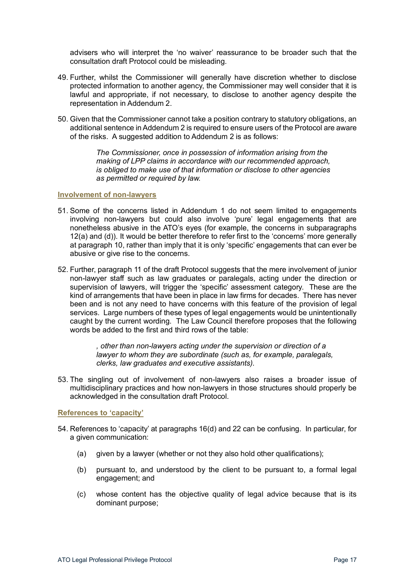advisers who will interpret the 'no waiver' reassurance to be broader such that the consultation draft Protocol could be misleading.

- 49. Further, whilst the Commissioner will generally have discretion whether to disclose protected information to another agency, the Commissioner may well consider that it is lawful and appropriate, if not necessary, to disclose to another agency despite the representation in Addendum 2.
- 50. Given that the Commissioner cannot take a position contrary to statutory obligations, an additional sentence in Addendum 2 is required to ensure users of the Protocol are aware of the risks. A suggested addition to Addendum 2 is as follows:

*The Commissioner, once in possession of information arising from the making of LPP claims in accordance with our recommended approach, is obliged to make use of that information or disclose to other agencies as permitted or required by law.*

#### <span id="page-16-0"></span>**Involvement of non-lawyers**

- 51. Some of the concerns listed in Addendum 1 do not seem limited to engagements involving non-lawyers but could also involve 'pure' legal engagements that are nonetheless abusive in the ATO's eyes (for example, the concerns in subparagraphs 12(a) and (d)). It would be better therefore to refer first to the 'concerns' more generally at paragraph 10, rather than imply that it is only 'specific' engagements that can ever be abusive or give rise to the concerns.
- 52. Further, paragraph 11 of the draft Protocol suggests that the mere involvement of junior non-lawyer staff such as law graduates or paralegals, acting under the direction or supervision of lawyers, will trigger the 'specific' assessment category. These are the kind of arrangements that have been in place in law firms for decades. There has never been and is not any need to have concerns with this feature of the provision of legal services. Large numbers of these types of legal engagements would be unintentionally caught by the current wording. The Law Council therefore proposes that the following words be added to the first and third rows of the table:

*, other than non-lawyers acting under the supervision or direction of a lawyer to whom they are subordinate (such as, for example, paralegals, clerks, law graduates and executive assistants).*

53. The singling out of involvement of non-lawyers also raises a broader issue of multidisciplinary practices and how non-lawyers in those structures should properly be acknowledged in the consultation draft Protocol.

<span id="page-16-1"></span>**References to 'capacity'**

- 54. References to 'capacity' at paragraphs 16(d) and 22 can be confusing. In particular, for a given communication:
	- (a) given by a lawyer (whether or not they also hold other qualifications);
	- (b) pursuant to, and understood by the client to be pursuant to, a formal legal engagement; and
	- (c) whose content has the objective quality of legal advice because that is its dominant purpose;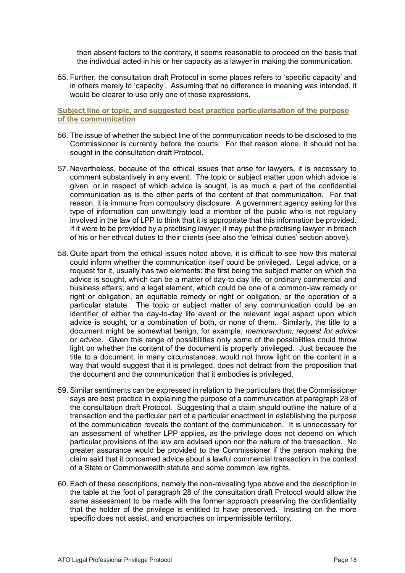then absent factors to the contrary, it seems reasonable to proceed on the basis that the individual acted in his or her capacity as a lawyer in making the communication.

55. Further, the consultation draft Protocol in some places refers to 'specific capacity' and in others merely to 'capacity'. Assuming that no difference in meaning was intended, it would be clearer to use only one of these expressions.

#### <span id="page-17-0"></span>**Subject line or topic, and suggested best practice particularisation of the purpose of the communication**

- 56. The issue of whether the subject line of the communication needs to be disclosed to the Commissioner is currently before the courts. For that reason alone, it should not be sought in the consultation draft Protocol.
- 57. Nevertheless, because of the ethical issues that arise for lawyers, it is necessary to comment substantively in any event. The topic or subject matter upon which advice is given, or in respect of which advice is sought, is as much a part of the confidential communication as is the other parts of the content of that communication. For that reason, it is immune from compulsory disclosure. A government agency asking for this type of information can unwittingly lead a member of the public who is not regularly involved in the law of LPP to think that it is appropriate that this information be provided. If it were to be provided by a practising lawyer, it may put the practising lawyer in breach of his or her ethical duties to their clients (see also the 'ethical duties' section above).
- 58. Quite apart from the ethical issues noted above, it is difficult to see how this material could inform whether the communication itself could be privileged. Legal advice, or a request for it, usually has two elements: the first being the subject matter on which the advice is sought, which can be a matter of day-to-day life, or ordinary commercial and business affairs; and a legal element, which could be one of a common-law remedy or right or obligation, an equitable remedy or right or obligation, or the operation of a particular statute. The topic or subject matter of any communication could be an identifier of either the day-to-day life event or the relevant legal aspect upon which advice is sought, or a combination of both, or none of them. Similarly, the title to a document might be somewhat benign, for example, *memorandum*, *request for advice* or *advice*. Given this range of possibilities only some of the possibilities could throw light on whether the content of the document is properly privileged. Just because the title to a document, in many circumstances, would not throw light on the content in a way that would suggest that it is privileged, does not detract from the proposition that the document and the communication that it embodies is privileged.
- 59. Similar sentiments can be expressed in relation to the particulars that the Commissioner says are best practice in explaining the purpose of a communication at paragraph 28 of the consultation draft Protocol. Suggesting that a claim should outline the nature of a transaction and the particular part of a particular enactment in establishing the purpose of the communication reveals the content of the communication. It is unnecessary for an assessment of whether LPP applies, as the privilege does not depend on which particular provisions of the law are advised upon nor the nature of the transaction. No greater assurance would be provided to the Commissioner if the person making the claim said that it concerned advice about a lawful commercial transaction in the context of a State or Commonwealth statute and some common law rights.
- 60. Each of these descriptions, namely the non-revealing type above and the description in the table at the foot of paragraph 28 of the consultation draft Protocol would allow the same assessment to be made with the former approach preserving the confidentiality that the holder of the privilege is entitled to have preserved. Insisting on the more specific does not assist, and encroaches on impermissible territory.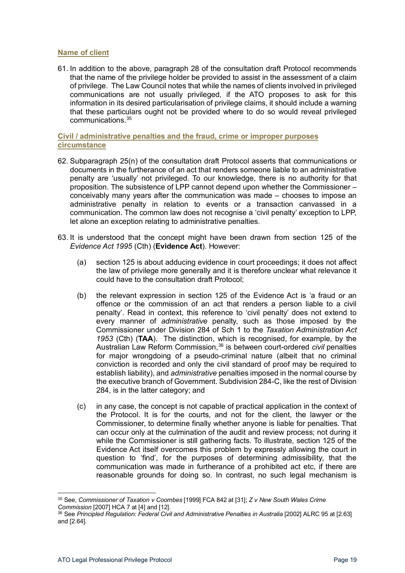#### <span id="page-18-0"></span>**Name of client**

61. In addition to the above, paragraph 28 of the consultation draft Protocol recommends that the name of the privilege holder be provided to assist in the assessment of a claim of privilege. The Law Council notes that while the names of clients involved in privileged communications are not usually privileged, if the ATO proposes to ask for this information in its desired particularisation of privilege claims, it should include a warning that these particulars ought not be provided where to do so would reveal privileged communications.[35](#page-18-2) 

#### <span id="page-18-1"></span>**Civil / administrative penalties and the fraud, crime or improper purposes circumstance**

- 62. Subparagraph 25(n) of the consultation draft Protocol asserts that communications or documents in the furtherance of an act that renders someone liable to an administrative penalty are 'usually' not privileged. To our knowledge, there is no authority for that proposition. The subsistence of LPP cannot depend upon whether the Commissioner – conceivably many years after the communication was made – chooses to impose an administrative penalty in relation to events or a transaction canvassed in a communication. The common law does not recognise a 'civil penalty' exception to LPP, let alone an exception relating to administrative penalties.
- 63. It is understood that the concept might have been drawn from section 125 of the *Evidence Act 1995* (Cth) (**Evidence Act**). However:
	- (a) section 125 is about adducing evidence in court proceedings; it does not affect the law of privilege more generally and it is therefore unclear what relevance it could have to the consultation draft Protocol;
	- (b) the relevant expression in section 125 of the Evidence Act is 'a fraud or an offence or the commission of an act that renders a person liable to a civil penalty'. Read in context, this reference to 'civil penalty' does not extend to every manner of *administrative* penalty, such as those imposed by the Commissioner under Division 284 of Sch 1 to the *Taxation Administration Act 1953* (Cth) (**TAA**). The distinction, which is recognised, for example, by the Australian Law Reform Commission, [36](#page-18-3) is between court-ordered *civil* penalties for major wrongdoing of a pseudo-criminal nature (albeit that no criminal conviction is recorded and only the civil standard of proof may be required to establish liability), and *administrative* penalties imposed in the normal course by the executive branch of Government. Subdivision 284-C, like the rest of Division 284, is in the latter category; and
	- (c) in any case, the concept is not capable of practical application in the context of the Protocol. It is for the courts, and not for the client, the lawyer or the Commissioner, to determine finally whether anyone is liable for penalties. That can occur only at the culmination of the audit and review process; not during it while the Commissioner is still gathering facts. To illustrate, section 125 of the Evidence Act itself overcomes this problem by expressly allowing the court in question to 'find', for the purposes of determining admissibility, that the communication was made in furtherance of a prohibited act etc, if there are reasonable grounds for doing so. In contrast, no such legal mechanism is

<span id="page-18-2"></span><sup>35</sup> See, *Commissioner of Taxation v Coombes* [1999] FCA 842 at [31]; *Z v New South Wales Crime* 

<span id="page-18-3"></span><sup>&</sup>lt;sup>36</sup> See Principled Regulation: Federal Civil and Administrative Penalties in Australia [2002] ALRC 95 at [2.63] and [2.64].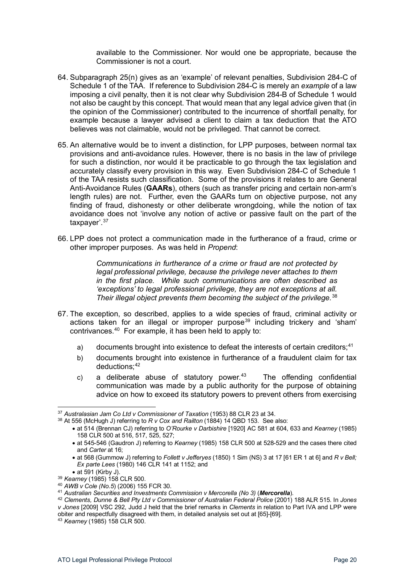available to the Commissioner. Nor would one be appropriate, because the Commissioner is not a court.

- 64. Subparagraph 25(n) gives as an 'example' of relevant penalties, Subdivision 284-C of Schedule 1 of the TAA. If reference to Subdivision 284-C is merely an *example* of a law imposing a civil penalty, then it is not clear why Subdivision 284-B of Schedule 1 would not also be caught by this concept. That would mean that any legal advice given that (in the opinion of the Commissioner) contributed to the incurrence of shortfall penalty, for example because a lawyer advised a client to claim a tax deduction that the ATO believes was not claimable, would not be privileged. That cannot be correct.
- 65. An alternative would be to invent a distinction, for LPP purposes, between normal tax provisions and anti-avoidance rules. However, there is no basis in the law of privilege for such a distinction, nor would it be practicable to go through the tax legislation and accurately classify every provision in this way. Even Subdivision 284-C of Schedule 1 of the TAA resists such classification. Some of the provisions it relates to are General Anti-Avoidance Rules (**GAARs**), others (such as transfer pricing and certain non-arm's length rules) are not. Further, even the GAARs turn on objective purpose, not any finding of fraud, dishonesty or other deliberate wrongdoing, while the notion of tax avoidance does not 'involve any notion of active or passive fault on the part of the taxpayer'.<sup>[37](#page-19-0)</sup>
- 66. LPP does not protect a communication made in the furtherance of a fraud, crime or other improper purposes. As was held in *Propend*:

*Communications in furtherance of a crime or fraud are not protected by legal professional privilege, because the privilege never attaches to them in the first place. While such communications are often described as 'exceptions' to legal professional privilege, they are not exceptions at all. Their illegal object prevents them becoming the subject of the privilege.*[38](#page-19-1)

- 67. The exception, so described, applies to a wide species of fraud, criminal activity or actions taken for an illegal or improper purpose<sup>[39](#page-19-2)</sup> including trickery and 'sham' contrivances.[40](#page-19-3) For example, it has been held to apply to:
	- a) documents brought into existence to defeat the interests of certain creditors;<sup>[41](#page-19-4)</sup>
	- b) documents brought into existence in furtherance of a fraudulent claim for tax  $deductions<sup>: 42</sup>$  $deductions<sup>: 42</sup>$  $deductions<sup>: 42</sup>$
	- c) a deliberate abuse of statutory power. $43$  The offending confidential communication was made by a public authority for the purpose of obtaining advice on how to exceed its statutory powers to prevent others from exercising

<span id="page-19-0"></span><sup>37</sup> *Australasian Jam Co Ltd v Commissioner of Taxation* (1953) 88 CLR 23 at 34.

<span id="page-19-1"></span><sup>38</sup> At 556 (McHugh J) referring to *R v Cox and Railton* (1884) 14 QBD 153. See also:

<sup>•</sup> at 514 (Brennan CJ) referring to *O'Rourke v Darbishire* [1920] AC 581 at 604, 633 and *Kearney* (1985) 158 CLR 500 at 516, 517, 525, 527;

<sup>•</sup> at 545-546 (Gaudron J) referring to *Kearney* (1985) 158 CLR 500 at 528-529 and the cases there cited and *Carter* at 16;

<sup>•</sup> at 568 (Gummow J) referring to *Follett v Jefferyes* (1850) 1 Sim (NS) 3 at 17 [61 ER 1 at 6] and *R v Bell; Ex parte Lees* (1980) 146 CLR 141 at 1152; and<br>• at 591 (Kirby J).

<span id="page-19-2"></span><sup>&</sup>lt;sup>39</sup> *Kearney* (1985) 158 CLR 500.

<span id="page-19-3"></span><sup>40</sup> *AWB v Cole (No.5*) (2006) 155 FCR 30.

<span id="page-19-4"></span><sup>41</sup> *Australian Securities and Investments Commission v Mercorella (No 3)* (*Mercorella*).

<span id="page-19-5"></span><sup>42</sup> *Clements, Dunne & Bell Pty Ltd v Commissioner of Australian Federal Police* (2001) 188 ALR 515. In *Jones v Jones* [2009] VSC 292, Judd J held that the brief remarks in *Clements* in relation to Part IVA and LPP were obiter and respectfully disagreed with them, in detailed analysis set out at [65]-[69].

<span id="page-19-6"></span><sup>43</sup> *Kearney* (1985) 158 CLR 500.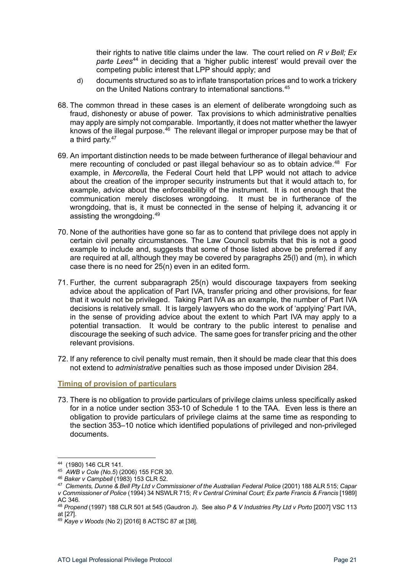their rights to native title claims under the law. The court relied on *R v Bell; Ex parte Lees*[44](#page-20-1) in deciding that a 'higher public interest' would prevail over the competing public interest that LPP should apply; and

- d) documents structured so as to inflate transportation prices and to work a trickery on the United Nations contrary to international sanctions.<sup>[45](#page-20-2)</sup>
- 68. The common thread in these cases is an element of deliberate wrongdoing such as fraud, dishonesty or abuse of power. Tax provisions to which administrative penalties may apply are simply not comparable. Importantly, it does not matter whether the lawyer knows of the illegal purpose. $46$  The relevant illegal or improper purpose may be that of a third party.<sup>[47](#page-20-4)</sup>
- 69. An important distinction needs to be made between furtherance of illegal behaviour and mere recounting of concluded or past illegal behaviour so as to obtain advice.<sup>[48](#page-20-5)</sup> For example, in *Mercorella*, the Federal Court held that LPP would not attach to advice about the creation of the improper security instruments but that it would attach to, for example, advice about the enforceability of the instrument. It is not enough that the communication merely discloses wrongdoing. It must be in furtherance of the wrongdoing, that is, it must be connected in the sense of helping it, advancing it or assisting the wrongdoing.[49](#page-20-6)
- 70. None of the authorities have gone so far as to contend that privilege does not apply in certain civil penalty circumstances. The Law Council submits that this is not a good example to include and, suggests that some of those listed above be preferred if any are required at all, although they may be covered by paragraphs 25(l) and (m), in which case there is no need for 25(n) even in an edited form.
- 71. Further, the current subparagraph 25(n) would discourage taxpayers from seeking advice about the application of Part IVA, transfer pricing and other provisions, for fear that it would not be privileged. Taking Part IVA as an example, the number of Part IVA decisions is relatively small. It is largely lawyers who do the work of 'applying' Part IVA, in the sense of providing advice about the extent to which Part IVA may apply to a potential transaction. It would be contrary to the public interest to penalise and discourage the seeking of such advice. The same goes for transfer pricing and the other relevant provisions.
- 72. If any reference to civil penalty must remain, then it should be made clear that this does not extend to *administrative* penalties such as those imposed under Division 284.

#### <span id="page-20-0"></span>**Timing of provision of particulars**

73. There is no obligation to provide particulars of privilege claims unless specifically asked for in a notice under section 353-10 of Schedule 1 to the TAA. Even less is there an obligation to provide particulars of privilege claims at the same time as responding to the section 353–10 notice which identified populations of privileged and non-privileged documents.

<span id="page-20-1"></span><sup>44</sup> (1980) 146 CLR 141.

<span id="page-20-2"></span><sup>&</sup>lt;sup>45</sup> *AWB v Cole (No.5) (2006) 155 FCR 30.*<br><sup>46</sup> *Baker v Campbell (1983) 153 CLR 52.* 

<span id="page-20-4"></span><span id="page-20-3"></span><sup>&</sup>lt;sup>47</sup> Clements, Dunne & Bell Pty Ltd v Commissioner of the Australian Federal Police (2001) 188 ALR 515; Capar *v Commissioner of Police* (1994) 34 NSWLR 715; *R v Central Criminal Court; Ex parte Francis & Francis* [1989] AC 346.

<span id="page-20-5"></span><sup>48</sup> *Propend* (1997) 188 CLR 501 at 545 (Gaudron J). See also *P & V Industries Pty Ltd v Porto* [2007] VSC 113 at [27].

<span id="page-20-6"></span><sup>49</sup> *Kaye v Woods* (No 2) [2016] 8 ACTSC 87 at [38].